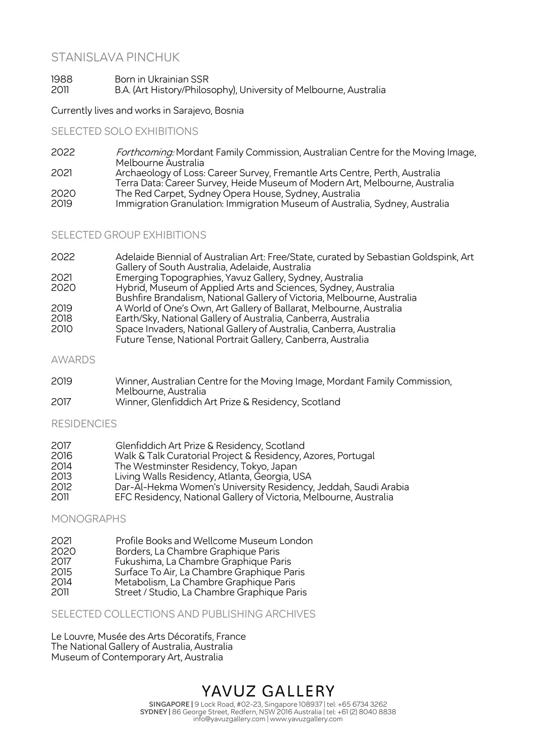# STANISLAVA PINCHUK

1988 Born in Ukrainian SSR 2011 B.A. (Art History/Philosophy), University of Melbourne, Australia

Currently lives and works in Sarajevo, Bosnia

## SELECTED SOLO EXHIBITIONS

- 2022 *Forthcoming:* Mordant Family Commission, Australian Centre for the Moving Image, Melbourne Australia 2021 Archaeology of Loss: Career Survey, Fremantle Arts Centre, Perth, Australia Terra Data: Career Survey, Heide Museum of Modern Art, Melbourne, Australia
- 2020 The Red Carpet, Sydney Opera House, Sydney, Australia
- Immigration Granulation: Immigration Museum of Australia, Sydney, Australia

# SELECTED GROUP EXHIBITIONS

| 2022 | Adelaide Biennial of Australian Art: Free/State, curated by Sebastian Goldspink, Art |
|------|--------------------------------------------------------------------------------------|
|      | Gallery of South Australia, Adelaide, Australia                                      |
| 2021 | Emerging Topographies, Yavuz Gallery, Sydney, Australia                              |
| 2020 | Hybrid, Museum of Applied Arts and Sciences, Sydney, Australia                       |
|      | Bushfire Brandalism, National Gallery of Victoria, Melbourne, Australia              |
| 2019 | A World of One's Own, Art Gallery of Ballarat, Melbourne, Australia                  |
| 2018 | Earth/Sky, National Gallery of Australia, Canberra, Australia                        |
| 2010 | Space Invaders, National Gallery of Australia, Canberra, Australia                   |
|      | Future Tense, National Portrait Gallery, Canberra, Australia                         |

#### AWARDS

- 2019 Winner, Australian Centre for the Moving Image, Mordant Family Commission, Melbourne, Australia
- 2017 Winner, Glenfiddich Art Prize & Residency, Scotland

#### RESIDENCIES

| 2017 | Glenfiddich Art Prize & Residency, Scotland                       |
|------|-------------------------------------------------------------------|
| 2016 | Walk & Talk Curatorial Project & Residency, Azores, Portugal      |
| 2014 | The Westminster Residency, Tokyo, Japan                           |
| 2013 | Living Walls Residency, Atlanta, Georgia, USA                     |
| 2012 | Dar-Al-Hekma Women's University Residency, Jeddah, Saudi Arabia   |
| 2011 | EFC Residency, National Gallery of Victoria, Melbourne, Australia |

#### MONOGRAPHS

| 2021 | Profile Books and Wellcome Museum London    |
|------|---------------------------------------------|
| 2020 | Borders, La Chambre Graphique Paris         |
| 2017 | Fukushima, La Chambre Graphique Paris       |
| 2015 | Surface To Air, La Chambre Graphique Paris  |
| 2014 | Metabolism, La Chambre Graphique Paris      |
| 2011 | Street / Studio, La Chambre Graphique Paris |

### SELECTED COLLECTIONS AND PUBLISHING ARCHIVES

Le Louvre, Musée des Arts Décoratifs, France The National Gallery of Australia, Australia Museum of Contemporary Art, Australia